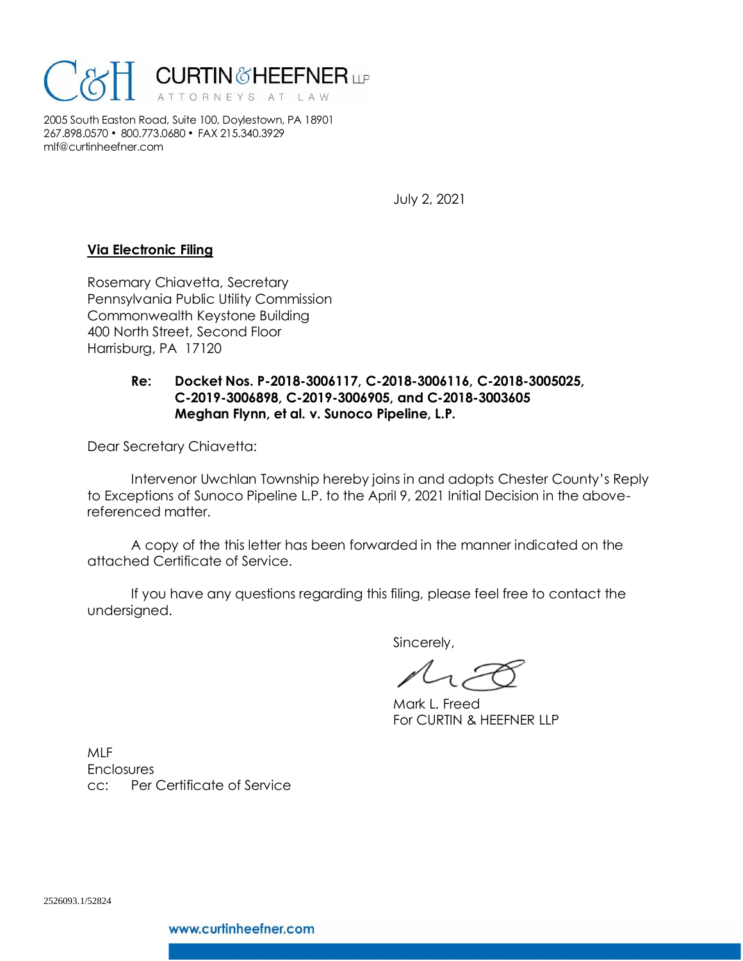

2005 South Easton Road, Suite 100, Doylestown, PA 18901 267.898.0570 • 800.773.0680 • FAX 215.340.3929 mlf@curtinheefner.com

July 2, 2021

## **Via Electronic Filing**

Rosemary Chiavetta, Secretary Pennsylvania Public Utility Commission Commonwealth Keystone Building 400 North Street, Second Floor Harrisburg, PA 17120

## **Re: Docket Nos. P-2018-3006117, C-2018-3006116, C-2018-3005025, C-2019-3006898, C-2019-3006905, and C-2018-3003605 Meghan Flynn, et al. v. Sunoco Pipeline, L.P.**

Dear Secretary Chiavetta:

Intervenor Uwchlan Township hereby joins in and adopts Chester County's Reply to Exceptions of Sunoco Pipeline L.P. to the April 9, 2021 Initial Decision in the abovereferenced matter.

A copy of the this letter has been forwarded in the manner indicated on the attached Certificate of Service.

If you have any questions regarding this filing, please feel free to contact the undersigned.

Sincerely,

Mark L. Freed For CURTIN & HEEFNER LLP

MLF **Enclosures** cc: Per Certificate of Service

2526093.1/52824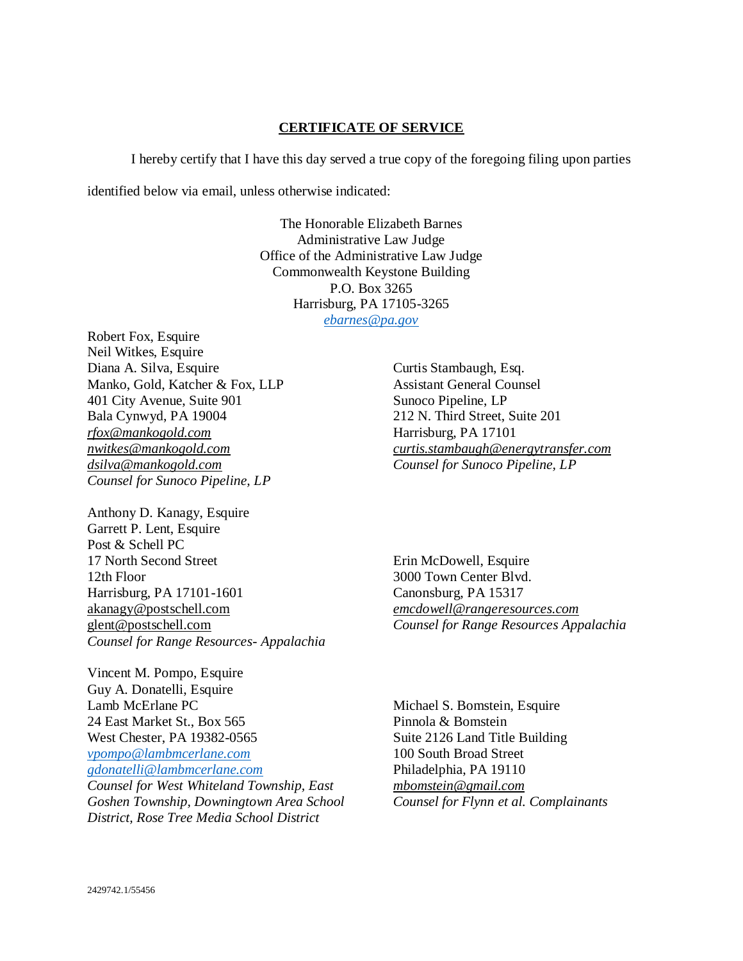## **CERTIFICATE OF SERVICE**

I hereby certify that I have this day served a true copy of the foregoing filing upon parties

identified below via email, unless otherwise indicated:

The Honorable Elizabeth Barnes Administrative Law Judge Office of the Administrative Law Judge Commonwealth Keystone Building P.O. Box 3265 Harrisburg, PA 17105-3265 *[ebarnes@pa.gov](mailto:ebarnes@pa.gov)*

Robert Fox, Esquire Neil Witkes, Esquire Diana A. Silva, Esquire Manko, Gold, Katcher & Fox, LLP 401 City Avenue, Suite 901 Bala Cynwyd, PA 19004 *rfox@mankogold.com nwitkes@mankogold.com dsilva@mankogold.com Counsel for Sunoco Pipeline, LP*

Anthony D. Kanagy, Esquire Garrett P. Lent, Esquire Post & Schell PC 17 North Second Street 12th Floor Harrisburg, PA 17101-1601 akanagy@postschell.com glent@postschell.com *Counsel for Range Resources- Appalachia* 

Vincent M. Pompo, Esquire Guy A. Donatelli, Esquire Lamb McErlane PC 24 East Market St., Box 565 West Chester, PA 19382-0565 *[vpompo@lambmcerlane.com](mailto:vpompo@lambmcerlane.com) [gdonatelli@lambmcerlane.com](mailto:gdonatelli@lambmcerlane.com) Counsel for West Whiteland Township, East Goshen Township, Downingtown Area School*

*District, Rose Tree Media School District*

Curtis Stambaugh, Esq. Assistant General Counsel Sunoco Pipeline, LP 212 N. Third Street, Suite 201 Harrisburg, PA 17101 *curtis.stambaugh@energytransfer.com Counsel for Sunoco Pipeline, LP*

Erin McDowell, Esquire 3000 Town Center Blvd. Canonsburg, PA 15317 *emcdowell@rangeresources.com Counsel for Range Resources Appalachia*

Michael S. Bomstein, Esquire Pinnola & Bomstein Suite 2126 Land Title Building 100 South Broad Street Philadelphia, PA 19110 *mbomstein@gmail.com Counsel for Flynn et al. Complainants*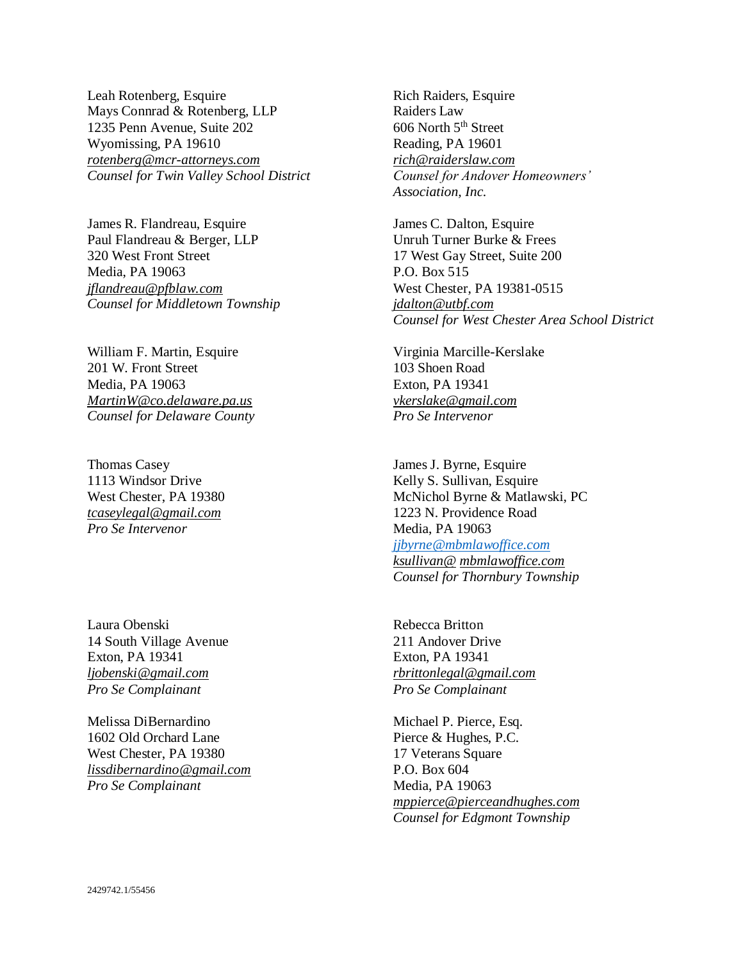Leah Rotenberg, Esquire Mays Connrad & Rotenberg, LLP 1235 Penn Avenue, Suite 202 Wyomissing, PA 19610 *rotenberg@mcr-attorneys.com Counsel for Twin Valley School District*

James R. Flandreau, Esquire Paul Flandreau & Berger, LLP 320 West Front Street Media, PA 19063 *jflandreau@pfblaw.com Counsel for Middletown Township*

William F. Martin, Esquire 201 W. Front Street Media, PA 19063 *MartinW@co.delaware.pa.us Counsel for Delaware County*

Thomas Casey 1113 Windsor Drive West Chester, PA 19380 *tcaseylegal@gmail.com Pro Se Intervenor*

Laura Obenski 14 South Village Avenue Exton, PA 19341 *ljobenski@gmail.com Pro Se Complainant*

Melissa DiBernardino 1602 Old Orchard Lane West Chester, PA 19380 *lissdibernardino@gmail.com Pro Se Complainant* 

Rich Raiders, Esquire Raiders Law 606 North 5<sup>th</sup> Street Reading, PA 19601 *rich@raiderslaw.com Counsel for Andover Homeowners' Association, Inc.*

James C. Dalton, Esquire Unruh Turner Burke & Frees 17 West Gay Street, Suite 200 P.O. Box 515 West Chester, PA 19381-0515 *jdalton@utbf.com Counsel for West Chester Area School District*

Virginia Marcille-Kerslake 103 Shoen Road Exton, PA 19341 *vkerslake@gmail.com Pro Se Intervenor*

James J. Byrne, Esquire Kelly S. Sullivan, Esquire McNichol Byrne & Matlawski, PC 1223 N. Providence Road Media, PA 19063 *[jjbyrne@mbmlawoffice.com](mailto:jjbyrne@mbmlawoffice.com) ksullivan@ mbmlawoffice.com Counsel for Thornbury Township*

Rebecca Britton 211 Andover Drive Exton, PA 19341 *rbrittonlegal@gmail.com Pro Se Complainant*

Michael P. Pierce, Esq. Pierce & Hughes, P.C. 17 Veterans Square P.O. Box 604 Media, PA 19063 *mppierce@pierceandhughes.com Counsel for Edgmont Township*